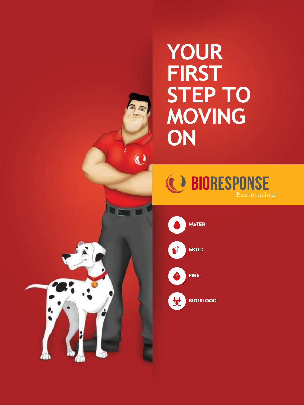# **YOUR FIRST STEP TO MOVING ON**

**C** BIORESPONSE Restoration



**WATER** 

 $\ddot{\textbf{C}}$ 



**MOLD** 



**FIRE** 



**BIO/BLOOD**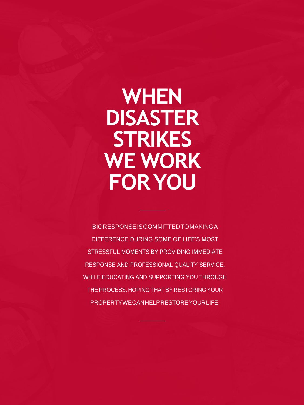# **WHEN DISASTER STRIKES WE WORK FORYOU**

BIORESPONSEISCOMMITTEDTOMAKINGA DIFFERENCE DURING SOME OF LIFE'S MOST STRESSFUL MOMENTS BY PROVIDING IMMEDIATE RESPONSE AND PROFESSIONAL QUALITY SERVICE, WHILE EDUCATING AND SUPPORTING YOU THROUGH THE PROCESS. HOPING THAT BY RESTORING YOUR PROPERTYWECANHELPRESTOREYOURLIFE.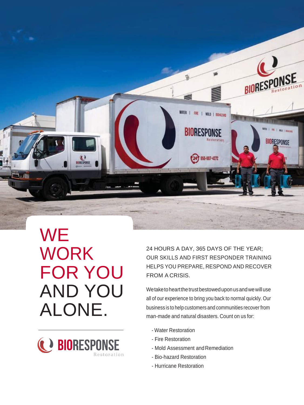

**WE** WORK FOR YOU AND YOU ALONE.



24 HOURS A DAY, 365 DAYS OF THE YEAR; OUR SKILLS AND FIRST RESPONDER TRAINING HELPS YOU PREPARE, RESPOND AND RECOVER FROM A CRISIS.

We take to heart the trust bestowed upon us and we will use all of our experience to bring you back to normal quickly. Our business is to help customers and communities recover from man-made and natural disasters. Count on us for:

- Water Restoration
- Fire Restoration
- Mold Assessment and Remediation
- Bio-hazard Restoration
- Hurricane Restoration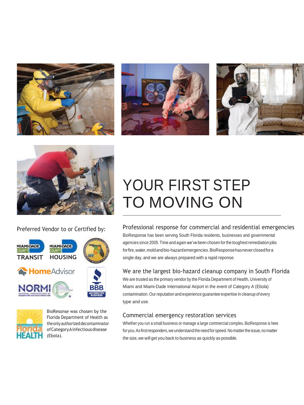







Preferred Vendor to or Certified by:





BioResonse was chosen by the Florida Department of Health as theonlyauthorizeddecontaminator ofCategoryAinfectiousdisease (Ebola).

## YOUR FIRST STEP TO MOVING ON

Professional response for commercial and residential emergencies

BioResponse has been serving South Florida residents, businesses and governmental agencies since 2005.Time and again we've been chosen for the toughest remediation jobs forfire,water,moldandbio-hazardemergencies.BioResponsehasneverclosedfora single day, and we are always prepared with a rapid reponse.

#### We are the largest bio-hazard cleanup company in South Florida

We are trusted as the primary vendor by the Florida Department of Health, University of Miami and Miami-Dade International Airport in the event of Category A (Ebola) contamination.Our reputation and experience guarantee expertise in cleanup of every type and use.

#### Commercial emergency restoration services

Whether you run a small business or manage a large commercial complex, BioResponse is here for you. As first responders, we understand the need for speed. No matter the issue, no matter the size, we will get you back to business as quickly as possible.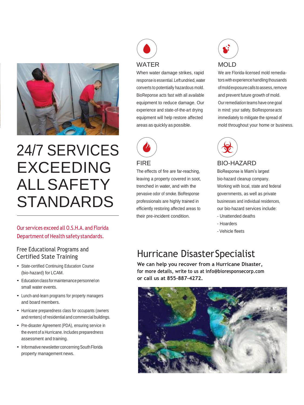

## 24/7 SERVICES EXCEEDING ALLSAFETY STANDARDS

#### Our services exceed all O.S.H.A. and Florida Department of Health safety standards.

#### Free Educational Programs and Certified State Training

- State-certified Continuing Education Course (bio-hazard) for LCAM.
- Education class for maintenance personnel on small water events.
- Lunch-and-learn programs for property managers and board members.
- Hurricane preparedness class for occupants (owners and renters) ofresidential and commercial buildings.
- Pre-disaster Agreement (PDA), ensuring service in the event of a Hurricane. Includes preparedness assessment and training.
- Informative newsletter concerning South Florida property management news.



When water damage strikes, rapid response is essential.Left undried,water converts to potentially hazardous mold. BioReponse acts fast with all available equipment to reduce damage. Our experience and state-of-the-art drying equipment will help restore affected areas as quickly as possible.



#### FIRE

The effects of fire are far-reaching, leaving a property covered in soot, trenched in water, and with the pervasive odor of smoke. BioResponse professionals are highly trained in efficiently restoring affected areas to their pre-incident condition.



We are Florida-licensed mold remediators with experience handling thousands ofmoldexposurecalls toassess,remove and prevent future growth of mold. Ourremediation teams have one goal in mind: your safety. BioResponse acts immediately to mitigate the spread of mold throughout your home or business.



#### BIO-HAZARD

BioResponse is Miami's largest bio-hazard cleanup company. Working with local, state and federal governments, as well as private businesses and individual residences, our bio-hazard services include:

- Unattended deaths
- Hoarders
- Vehicle fleets

### Hurricane DisasterSpecialist

**We can help you recover from a Hurricane Disaster, for more details, write to us at [info@bioresponsecorp.com](mailto:info@bioresponsecorp.com) or call us at 855-887-4272.**

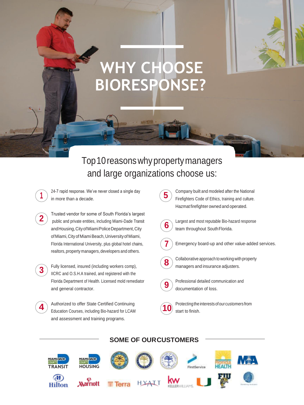## **WHY CHOOSE BIORESPONSE?**

### Top10reasonswhypropertymanagers and large organizations choose us:

24-7 rapid response. We've never closed a single day in more than a decade.

**1**

- Trusted vendor for some of South Florida's largest public and private entities, including Miami-Dade Transit andHousing,CityofMiamiPoliceDepartment,City of Miami, City of Miami Beach, University of Miami, Florida International University, plus global hotel chains, realtors, property managers, developers and others. **2**
- Fully licensed, insured (including workers comp), IICRC and O.S.H.A trained, and registered with the Florida Department of Health. Licensed mold remediator and general contractor. **3**
- Authorized to offer State Certified Continuing Education Courses, including Bio-hazard for LCAM and assessment and training programs. **4**

Company built and modeled after the National Firefighters Code of Ethics, training and culture. Hazmat firefighter owned and operated.



**5**

Largest and most reputable Bio-hazard response team throughout South Florida.



Emergency board-up and other value-added services.



Collaborative approach to working with property managers and insurance adjusters.



Professional detailed communication and documentation of loss.



Protecting the interests of our customers from start to finish.

#### **TRANSIT HOUSING** FirstService HYATT **Marriott Hilton**

#### **SOME OF OURCUSTOMERS**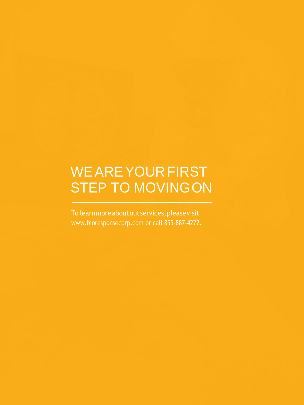### WEAREYOURFIRST STEP TO MOVINGON

To learnmoreaboutoutservices,pleasevisit [www.bioresponsecorp.com o](http://www.bioresponsecorp.com/)r call 855-887-4272.